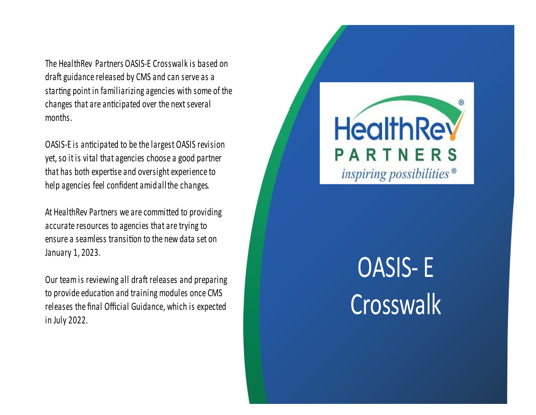The HealthRey Partners OASIS-E Crosswalk is based on draft guidance released by CMS and can serve as a starting point in familiarizing agencies with some of the changes that are anticipated over the next several months.

OASIS-E is anticipated to be the largest OASIS revision yet, so it is vital that agencies choose a good partner that has both expertise and oversight experience to help agencies feel confident amidall the changes.

At HealthRev Partners we are committed to providing accurate resources to agencies that are trying to ensure a seamless transition to the new data set on January 1, 2023.

Our team is reviewing all draft releases and preparing to provide education and training modules once CMS releases the final Official Guidance, which is expected in July 2022.



# **OASIS-E** Crosswalk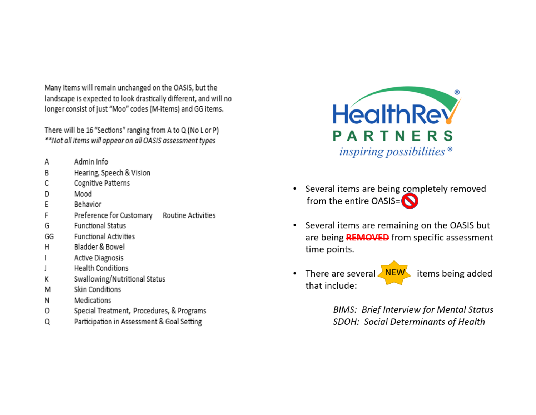Many Items will remain unchanged on the OASIS, but the landscape is expected to look drastically different, and will no longer consist of just "Moo" codes (M-items) and GG items.

There will be 16 "Sections" ranging from A to Q (No L or P) \*\*Not all Items will appear on all OASIS assessment types

- Admin Info А
- Hearing, Speech & Vision B
- Cognitive Patterns С
- Mood D
- F Behavior
- Preference for Customary Routine Activities F
- **Functional Status** G
- GG **Functional Activities**
- н Bladder & Bowel
- Active Diagnosis
- **Health Conditions** L
- Swallowing/Nutritional Status К
- Skin Conditions M
- Medications Ν
- Special Treatment, Procedures, & Programs 0
- Participation in Assessment & Goal Setting Q



- Several items are being completely removed  $\bullet$ from the entire OASIS= $\bigcirc$
- Several items are remaining on the OASIS but  $\bullet$ are being **REMOVED** from specific assessment time points.
- There are several NEW items being added that include:

**BIMS: Brief Interview for Mental Status** SDOH: Social Determinants of Health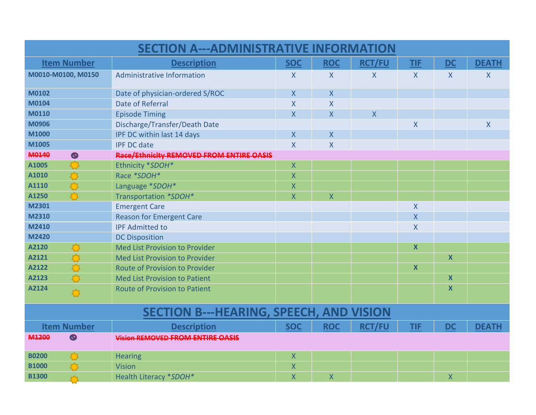| <b>SECTION A---ADMINISTRATIVE INFORMATION</b>  |                                          |                         |                         |               |                         |                  |              |  |
|------------------------------------------------|------------------------------------------|-------------------------|-------------------------|---------------|-------------------------|------------------|--------------|--|
| <b>Item Number</b>                             | <b>Description</b>                       | <b>SOC</b>              | <b>ROC</b>              | <b>RCT/FU</b> | <b>TIF</b>              | <b>DC</b>        | <b>DEATH</b> |  |
| M0010-M0100, M0150                             | Administrative Information               | X                       | $\mathsf{X}$            | $\mathsf{X}$  | $\mathsf{X}$            | $\mathsf{X}$     | $\sf X$      |  |
| M0102                                          | Date of physician-ordered S/ROC          | X                       | $\overline{\mathsf{X}}$ |               |                         |                  |              |  |
| M0104                                          | Date of Referral                         | $\mathsf{X}$            | $\mathsf{X}$            |               |                         |                  |              |  |
| M0110                                          | <b>Episode Timing</b>                    | X                       | $\mathsf{X}$            | $\mathsf{X}$  |                         |                  |              |  |
| M0906                                          | Discharge/Transfer/Death Date            |                         |                         |               | $\sf X$                 |                  | $\sf X$      |  |
| M1000                                          | IPF DC within last 14 days               | X                       | $\mathsf{X}$            |               |                         |                  |              |  |
| M1005                                          | <b>IPF DC date</b>                       | $\sf X$                 | $\pmb{\mathsf{X}}$      |               |                         |                  |              |  |
| M0140<br>$\circledcirc$                        | Race/Ethnicity REMOVED FROM ENTIRE OASIS |                         |                         |               |                         |                  |              |  |
| A1005<br>$\sum$                                | Ethnicity *SDOH*                         | X                       |                         |               |                         |                  |              |  |
| $\Gamma$<br>A1010                              | Race *SDOH*                              | X                       |                         |               |                         |                  |              |  |
| $\mathcal{L}$<br>A1110                         | Language *SDOH*                          | $\sf X$                 |                         |               |                         |                  |              |  |
| A1250                                          | Transportation *SDOH*                    | $\overline{\mathsf{X}}$ | $\overline{\mathsf{X}}$ |               |                         |                  |              |  |
| M2301                                          | <b>Emergent Care</b>                     |                         |                         |               | X                       |                  |              |  |
| M2310                                          | <b>Reason for Emergent Care</b>          |                         |                         |               | $\overline{\mathsf{X}}$ |                  |              |  |
| M2410                                          | <b>IPF Admitted to</b>                   |                         |                         |               | $\overline{X}$          |                  |              |  |
| M2420                                          | <b>DC Disposition</b>                    |                         |                         |               |                         |                  |              |  |
| A2120<br>$\sum$                                | Med List Provision to Provider           |                         |                         |               | X                       |                  |              |  |
| $\mathcal{L}$<br>A2121                         | <b>Med List Provision to Provider</b>    |                         |                         |               |                         | $\boldsymbol{X}$ |              |  |
| $\sum$<br>A2122                                | <b>Route of Provision to Provider</b>    |                         |                         |               | $\mathbf{x}$            |                  |              |  |
| $\mathcal{L}$<br>A2123                         | <b>Med List Provision to Patient</b>     |                         |                         |               |                         | $\mathsf{X}$     |              |  |
| A2124<br>办                                     | <b>Route of Provision to Patient</b>     |                         |                         |               |                         | X                |              |  |
| <b>SECTION B---HEARING, SPEECH, AND VISION</b> |                                          |                         |                         |               |                         |                  |              |  |
| <b>Item Number</b>                             | <b>Description</b>                       | <b>SOC</b>              | <b>ROC</b>              | <b>RCT/FU</b> | <b>TIF</b>              | <b>DC</b>        | <b>DEATH</b> |  |
| $\circledcirc$<br>M1200                        | <b>Vision REMOVED FROM ENTIRE OASIS</b>  |                         |                         |               |                         |                  |              |  |
| <b>B0200</b>                                   | <b>Hearing</b>                           | X                       |                         |               |                         |                  |              |  |
| <b>B1000</b>                                   | Vision                                   | X                       |                         |               |                         |                  |              |  |
| <b>B1300</b><br>$\mathbf{r}$                   | Health Literacy *SDOH*                   | X                       | $\mathsf{X}$            |               |                         | $\sf X$          |              |  |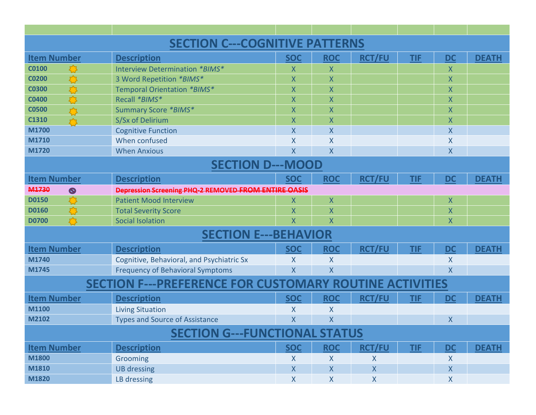| <b>SECTION C---COGNITIVE PATTERNS</b>                          |                                                             |                         |                         |                    |            |                         |              |  |  |
|----------------------------------------------------------------|-------------------------------------------------------------|-------------------------|-------------------------|--------------------|------------|-------------------------|--------------|--|--|
| <b>Item Number</b>                                             | <b>Description</b>                                          | <b>SOC</b>              | <b>ROC</b>              | <b>RCT/FU</b>      | <b>TIF</b> | <b>DC</b>               | <b>DEATH</b> |  |  |
| <b>C0100</b>                                                   | Interview Determination *BIMS*                              | X                       | $\mathsf{X}$            |                    |            | X                       |              |  |  |
| <b>CO200</b>                                                   | 3 Word Repetition *BIMS*                                    | $\sf X$                 | $\sf X$                 |                    |            | X                       |              |  |  |
| <b>C0300</b>                                                   | Temporal Orientation *BIMS*                                 | X                       | $\sf X$                 |                    |            | X                       |              |  |  |
| <b>C0400</b>                                                   | Recall *BIMS*                                               | $\sf X$                 | $\sf X$                 |                    |            | X                       |              |  |  |
| <b>C0500</b>                                                   | Summary Score *BIMS*                                        | $\sf X$                 | $\sf X$                 |                    |            | X                       |              |  |  |
| C1310<br>$\mathcal{L}$                                         | S/Sx of Delirium                                            | $\sf X$                 | $\overline{X}$          |                    |            | X                       |              |  |  |
| M1700                                                          | <b>Cognitive Function</b>                                   | $\overline{X}$          | $\overline{\mathsf{X}}$ |                    |            | X                       |              |  |  |
| M1710                                                          | When confused                                               | X                       | $\overline{\mathsf{X}}$ |                    |            | X                       |              |  |  |
| M1720                                                          | <b>When Anxious</b>                                         | $\overline{\mathsf{X}}$ | $\overline{\mathsf{X}}$ |                    |            | X                       |              |  |  |
| <b>SECTION D---MOOD</b>                                        |                                                             |                         |                         |                    |            |                         |              |  |  |
| <b>Item Number</b>                                             | <b>Description</b>                                          | <b>SOC</b>              | <b>ROC</b>              | <b>RCT/FU</b>      | <b>TIF</b> | <b>DC</b>               | <b>DEATH</b> |  |  |
| M <sub>1730</sub><br>$\circledcirc$                            | <b>Depression Screening PHQ-2 REMOVED FROM ENTIRE OASIS</b> |                         |                         |                    |            |                         |              |  |  |
| <b>D0150</b>                                                   | <b>Patient Mood Interview</b>                               | X                       | $\mathsf{X}$            |                    |            | $\sf X$                 |              |  |  |
| <b>D0160</b>                                                   | <b>Total Severity Score</b>                                 | $\sf X$                 | $\sf X$                 |                    |            | X                       |              |  |  |
| <b>D0700</b>                                                   | <b>Social Isolation</b>                                     | $\overline{\mathsf{X}}$ | $\overline{\mathsf{X}}$ |                    |            | $\overline{\mathsf{X}}$ |              |  |  |
|                                                                | <b>SECTION E---BEHAVIOR</b>                                 |                         |                         |                    |            |                         |              |  |  |
| <b>Item Number</b>                                             | <b>Description</b>                                          | <b>SOC</b>              | <b>ROC</b>              | <b>RCT/FU</b>      | <b>TIF</b> | <b>DC</b>               | <b>DEATH</b> |  |  |
| M1740                                                          | Cognitive, Behavioral, and Psychiatric Sx                   | X                       | X                       |                    |            | X                       |              |  |  |
| M1745                                                          | <b>Frequency of Behavioral Symptoms</b>                     | $\overline{\mathsf{X}}$ | $\sf X$                 |                    |            | X                       |              |  |  |
| <b>SECTION F---PREFERENCE FOR CUSTOMARY ROUTINE ACTIVITIES</b> |                                                             |                         |                         |                    |            |                         |              |  |  |
| <b>Item Number</b>                                             | <b>Description</b>                                          | <b>SOC</b>              | <b>ROC</b>              | <b>RCT/FU</b>      | <b>TIF</b> | <b>DC</b>               | <b>DEATH</b> |  |  |
| M1100                                                          | <b>Living Situation</b>                                     | X                       | X                       |                    |            |                         |              |  |  |
| M2102                                                          | <b>Types and Source of Assistance</b>                       | X                       | X                       |                    |            | $\sf X$                 |              |  |  |
| <b>SECTION G---FUNCTIONAL STATUS</b>                           |                                                             |                         |                         |                    |            |                         |              |  |  |
| <b>Item Number</b>                                             | <b>Description</b>                                          | <b>SOC</b>              | <b>ROC</b>              | <b>RCT/FU</b>      | <b>TIF</b> | <b>DC</b>               | <b>DEATH</b> |  |  |
| M1800                                                          | Grooming                                                    | X                       | $\mathsf{X}$            | $\pmb{\mathsf{X}}$ |            | $\boldsymbol{X}$        |              |  |  |
| M1810                                                          | <b>UB dressing</b>                                          | $\mathsf{X}$            | $\boldsymbol{X}$        | $\mathsf{X}$       |            | $\boldsymbol{X}$        |              |  |  |
| M1820                                                          | LB dressing                                                 | $\pmb{\mathsf{X}}$      | $\pmb{\mathsf{X}}$      | $\mathsf{X}$       |            | $\pmb{\mathsf{X}}$      |              |  |  |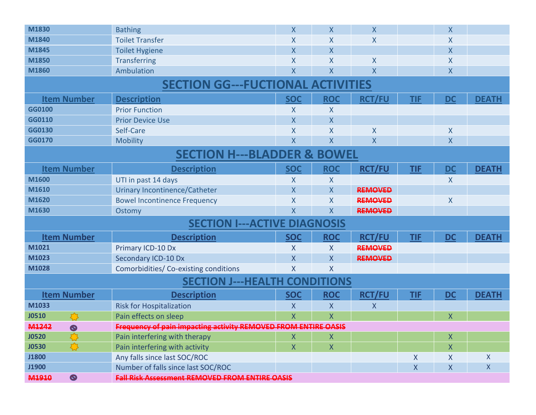| M1830                                    | <b>Bathing</b>                                                 | $\sf X$                 | $\mathsf{X}$            | X              |              | $\sf X$                   |              |  |  |
|------------------------------------------|----------------------------------------------------------------|-------------------------|-------------------------|----------------|--------------|---------------------------|--------------|--|--|
| M1840                                    | <b>Toilet Transfer</b>                                         | X                       | $\sf X$                 | $\sf X$        |              | X                         |              |  |  |
| M1845                                    | <b>Toilet Hygiene</b>                                          | $\sf X$                 | X                       |                |              | $\sf X$                   |              |  |  |
| M1850                                    | <b>Transferring</b>                                            | X                       | $\overline{X}$          | X              |              | $\sf X$                   |              |  |  |
| M1860                                    | Ambulation                                                     | X                       | $\sf X$                 | $\sf X$        |              | X                         |              |  |  |
| <b>SECTION GG---FUCTIONAL ACTIVITIES</b> |                                                                |                         |                         |                |              |                           |              |  |  |
| <b>Item Number</b>                       | <b>Description</b>                                             | <b>SOC</b>              | <b>ROC</b>              | <b>RCT/FU</b>  | <b>TIF</b>   | <b>DC</b>                 | <b>DEATH</b> |  |  |
| GG0100                                   | <b>Prior Function</b>                                          | X                       | X                       |                |              |                           |              |  |  |
| GG0110                                   | <b>Prior Device Use</b>                                        | $\sf X$                 | $\sf X$                 |                |              |                           |              |  |  |
| GG0130                                   | Self-Care                                                      | X                       | X                       | $\sf X$        |              | $\boldsymbol{\mathsf{X}}$ |              |  |  |
| GG0170                                   | <b>Mobility</b>                                                | $\sf X$                 | $\sf X$                 | X              |              | $\mathsf{X}$              |              |  |  |
| <b>SECTION H---BLADDER &amp; BOWEL</b>   |                                                                |                         |                         |                |              |                           |              |  |  |
| <b>Item Number</b>                       | <b>Description</b>                                             | <b>SOC</b>              | <b>ROC</b>              | <b>RCT/FU</b>  | <b>TIF</b>   | <b>DC</b>                 | <b>DEATH</b> |  |  |
| M1600                                    | UTI in past 14 days                                            | X                       | X                       |                |              | X                         |              |  |  |
| M1610                                    | <b>Urinary Incontinence/Catheter</b>                           | X                       | $\overline{X}$          | <b>REMOVED</b> |              |                           |              |  |  |
| M1620                                    | <b>Bowel Incontinence Frequency</b>                            | X                       | X                       | <b>REMOVED</b> |              | $\mathsf{X}$              |              |  |  |
| M1630                                    | Ostomy                                                         | $\sf X$                 | $\overline{\mathsf{X}}$ | <b>REMOVED</b> |              |                           |              |  |  |
|                                          | <b>SECTION I---ACTIVE DIAGNOSIS</b>                            |                         |                         |                |              |                           |              |  |  |
| <b>Item Number</b>                       | <b>Description</b>                                             | <b>SOC</b>              | <b>ROC</b>              | <b>RCT/FU</b>  | <b>TIF</b>   | <b>DC</b>                 | <b>DEATH</b> |  |  |
| M1021                                    | Primary ICD-10 Dx                                              | X                       | X                       | <b>REMOVED</b> |              |                           |              |  |  |
| M1023                                    | Secondary ICD-10 Dx                                            | X                       | X                       | <b>REMOVED</b> |              |                           |              |  |  |
| M1028                                    | Comorbidities/Co-existing conditions                           | $\sf X$                 | $\sf X$                 |                |              |                           |              |  |  |
|                                          | <b>SECTION J---HEALTH CONDITIONS</b>                           |                         |                         |                |              |                           |              |  |  |
| <b>Item Number</b>                       | <b>Description</b>                                             | <b>SOC</b>              | <b>ROC</b>              | <b>RCT/FU</b>  | <b>TIF</b>   | <b>DC</b>                 | <b>DEATH</b> |  |  |
| M1033                                    | <b>Risk for Hospitalization</b>                                | X                       | $\mathsf{X}$            | X              |              |                           |              |  |  |
| <b>J0510</b>                             | Pain effects on sleep                                          | $\overline{\mathsf{X}}$ | $\overline{X}$          |                |              | $\sf X$                   |              |  |  |
| M1242<br>$\infty$                        | Frequency of pain impacting activity REMOVED FROM ENTIRE OASIS |                         |                         |                |              |                           |              |  |  |
| <b>J0520</b>                             | Pain interfering with therapy                                  | Χ                       | X                       |                |              | $\pmb{\mathsf{X}}$        |              |  |  |
| <b>J0530</b>                             | Pain interfering with activity                                 | $\pmb{\mathsf{X}}$      | X                       |                |              | $\pmb{\mathsf{X}}$        |              |  |  |
| J1800                                    | Any falls since last SOC/ROC                                   |                         |                         |                | X            | X                         | X            |  |  |
| J1900                                    | Number of falls since last SOC/ROC                             |                         |                         |                | $\mathsf{X}$ | $\mathsf{X}$              | X            |  |  |
| $\circledcirc$<br>M1910                  | <b>Fall Risk Assessment REMOVED FROM ENTIRE OASIS</b>          |                         |                         |                |              |                           |              |  |  |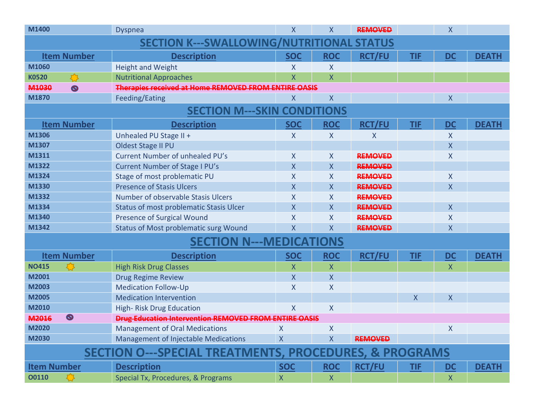| M1400                                                             | <b>Dyspnea</b>                                               | $\sf X$        | $\mathsf{X}$            | <b>REMOVED</b> |              | $\sf X$                   |              |
|-------------------------------------------------------------------|--------------------------------------------------------------|----------------|-------------------------|----------------|--------------|---------------------------|--------------|
| <b>SECTION K---SWALLOWING/NUTRITI</b><br><b>STATUS</b>            |                                                              |                |                         |                |              |                           |              |
| <b>Item Number</b>                                                | <b>Description</b>                                           | <b>SOC</b>     | <b>ROC</b>              | <b>RCT/FU</b>  | <b>TIF</b>   | <b>DC</b>                 | <b>DEATH</b> |
| M1060                                                             | <b>Height and Weight</b>                                     | X              | X                       |                |              |                           |              |
| $\sqrt{3}$<br><b>K0520</b>                                        | <b>Nutritional Approaches</b>                                | $\sf X$        | $\mathsf{X}$            |                |              |                           |              |
| M1030<br>$\circledcirc$                                           | Therapies received at Home REMOVED FROM ENTIRE OASIS         |                |                         |                |              |                           |              |
| M1870                                                             | Feeding/Eating                                               | X              | $\mathsf{X}$            |                |              | $\sf X$                   |              |
|                                                                   | <b>SECTION M---SKIN CONDITIONS</b>                           |                |                         |                |              |                           |              |
| <b>Item Number</b>                                                | <b>Description</b>                                           | <b>SOC</b>     | <b>ROC</b>              | <b>RCT/FU</b>  | <b>TIF</b>   | DC                        | <b>DEATH</b> |
| M1306                                                             | Unhealed PU Stage II +                                       | X              | X                       | X              |              | X                         |              |
| M1307                                                             | Oldest Stage II PU                                           |                |                         |                |              | $\mathsf{X}$              |              |
| M1311                                                             | Current Number of unhealed PU's                              | X              | $\overline{X}$          | <b>REMOVED</b> |              | $\sf X$                   |              |
| M1322                                                             | Current Number of Stage I PU's                               | X              | $\mathsf{X}$            | <b>REMOVED</b> |              |                           |              |
| M1324                                                             | Stage of most problematic PU                                 | X              | $\overline{\mathsf{X}}$ | <b>REMOVED</b> |              | $\overline{X}$            |              |
| M1330                                                             | <b>Presence of Stasis Ulcers</b>                             | $\sf X$        | $\overline{\mathsf{X}}$ | <b>REMOVED</b> |              | $\sf X$                   |              |
| M1332                                                             | Number of observable Stasis Ulcers                           | X              | $\overline{X}$          | <b>REMOVED</b> |              |                           |              |
| M1334                                                             | <b>Status of most problematic Stasis Ulcer</b>               | $\sf X$        | $\mathsf{X}$            | <b>REMOVED</b> |              | $\boldsymbol{\mathsf{X}}$ |              |
| M1340                                                             | <b>Presence of Surgical Wound</b>                            | $\sf X$        | $\overline{\mathsf{X}}$ | <b>REMOVED</b> |              | $\sf X$                   |              |
| M1342                                                             | <b>Status of Most problematic surg Wound</b>                 | $\sf X$        | $\mathsf{X}$            | <b>REMOVED</b> |              | $\sf X$                   |              |
|                                                                   | <b>SECTION N---MEDICATIONS</b>                               |                |                         |                |              |                           |              |
| <b>Item Number</b>                                                | <b>Description</b>                                           | <b>SOC</b>     | <b>ROC</b>              | <b>RCT/FU</b>  | <b>TIF</b>   | DC                        | <b>DEATH</b> |
| <b>NO415</b>                                                      | <b>High Risk Drug Classes</b>                                | X              | $\mathsf{X}$            |                |              | $\sf X$                   |              |
| M2001                                                             | <b>Drug Regime Review</b>                                    | X              | $\mathsf{X}$            |                |              |                           |              |
| M2003                                                             | <b>Medication Follow-Up</b>                                  | X              | $\mathsf{X}$            |                |              |                           |              |
| M2005                                                             | <b>Medication Intervention</b>                               |                |                         |                | $\mathsf{X}$ | X                         |              |
| M2010                                                             | <b>High-Risk Drug Education</b>                              | $\overline{X}$ | $\mathsf{X}$            |                |              |                           |              |
| $\circledcirc$<br>M2016                                           | <b>Drug Education Intervention REMOVED FROM ENTIRE OASIS</b> |                |                         |                |              |                           |              |
| M2020                                                             | <b>Management of Oral Medications</b>                        | X              | $\mathsf{X}$            |                |              | $\pmb{\mathsf{X}}$        |              |
| M2030                                                             | Management of Injectable Medications                         | $\mathsf{X}$   | $\mathsf{X}$            | <b>REMOVED</b> |              |                           |              |
| <b>SECTION O---SPECIAL TREATMENTS, PROCEDURES, &amp; PROGRAMS</b> |                                                              |                |                         |                |              |                           |              |
| <b>Item Number</b>                                                | <b>Description</b>                                           | <b>SOC</b>     | <b>ROC</b>              | <b>RCT/FU</b>  | <b>TIF</b>   | <b>DC</b>                 | <b>DEATH</b> |
| <b>O0110</b>                                                      | Special Tx, Procedures, & Programs                           | $\mathsf X$    | $\mathsf{X}$            |                |              | $\mathsf{X}$              |              |